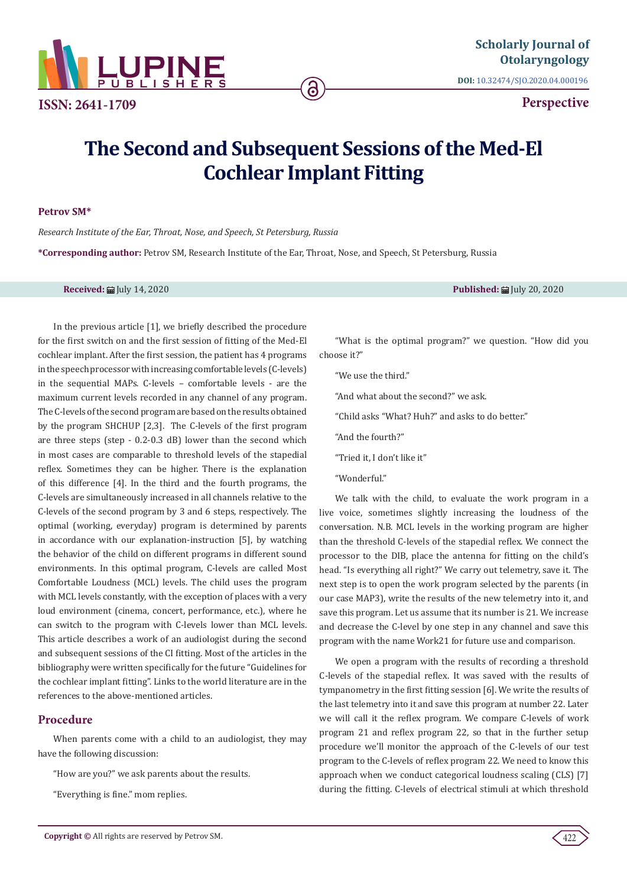

**ISSN: 2641-1709**

**DOI:** [10.32474/SJO.2020.04.000196](http://dx.doi.org/10.32474/SJO.2020.04.000196)

**Perspective**

# **The Second and Subsequent Sessions of the Med-El Cochlear Implant Fitting**

6

#### **Petrov SM\***

*Research Institute of the Ear, Throat, Nose, and Speech, St Petersburg, Russia*

**\*Corresponding author:** Petrov SM, Research Institute of the Ear, Throat, Nose, and Speech, St Petersburg, Russia

**Received:** July 14, 2020 **Published:** July 20, 2020

In the previous article [1], we briefly described the procedure for the first switch on and the first session of fitting of the Med-El cochlear implant. After the first session, the patient has 4 programs in the speech processor with increasing comfortable levels (C-levels) in the sequential MAPs. C-levels – comfortable levels - are the maximum current levels recorded in any channel of any program. The C-levels of the second program are based on the results obtained by the program SHCHUP [2,3]. The C-levels of the first program are three steps (step - 0.2-0.3 dB) lower than the second which in most cases are comparable to threshold levels of the stapedial reflex. Sometimes they can be higher. There is the explanation of this difference [4]. In the third and the fourth programs, the C-levels are simultaneously increased in all channels relative to the C-levels of the second program by 3 and 6 steps, respectively. The optimal (working, everyday) program is determined by parents in accordance with our explanation-instruction [5], by watching the behavior of the child on different programs in different sound environments. In this optimal program, C-levels are called Most Comfortable Loudness (MCL) levels. The child uses the program with MCL levels constantly, with the exception of places with a very loud environment (cinema, concert, performance, etc.), where he can switch to the program with C-levels lower than MCL levels. This article describes a work of an audiologist during the second and subsequent sessions of the CI fitting. Most of the articles in the bibliography were written specifically for the future "Guidelines for the cochlear implant fitting". Links to the world literature are in the references to the above-mentioned articles.

## **Procedure**

When parents come with a child to an audiologist, they may have the following discussion:

"How are you?" we ask parents about the results.

"Everything is fine." mom replies.

"What is the optimal program?" we question. "How did you choose it?"

"We use the third."

"And what about the second?" we ask.

- "Child asks "What? Huh?" and asks to do better."
- "And the fourth?"
- "Tried it, I don't like it"
- "Wonderful."

We talk with the child, to evaluate the work program in a live voice, sometimes slightly increasing the loudness of the conversation. N.B. MCL levels in the working program are higher than the threshold C-levels of the stapedial reflex. We connect the processor to the DIB, place the antenna for fitting on the child's head. "Is everything all right?" We carry out telemetry, save it. The next step is to open the work program selected by the parents (in our case MAP3), write the results of the new telemetry into it, and save this program. Let us assume that its number is 21. We increase and decrease the C-level by one step in any channel and save this program with the name Work21 for future use and comparison.

We open a program with the results of recording a threshold C-levels of the stapedial reflex. It was saved with the results of tympanometry in the first fitting session [6]. We write the results of the last telemetry into it and save this program at number 22. Later we will call it the reflex program. We compare C-levels of work program 21 and reflex program 22, so that in the further setup procedure we'll monitor the approach of the C-levels of our test program to the C-levels of reflex program 22. We need to know this approach when we conduct categorical loudness scaling (CLS) [7] during the fitting. C-levels of electrical stimuli at which threshold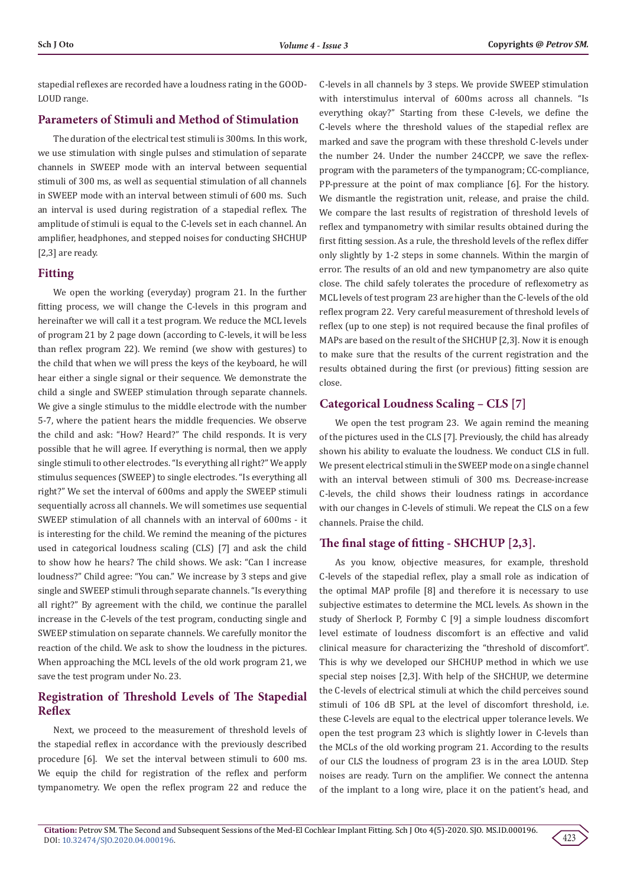stapedial reflexes are recorded have a loudness rating in the GOOD-LOUD range.

## **Parameters of Stimuli and Method of Stimulation**

The duration of the electrical test stimuli is 300ms. In this work, we use stimulation with single pulses and stimulation of separate channels in SWEEP mode with an interval between sequential stimuli of 300 ms, as well as sequential stimulation of all channels in SWEEP mode with an interval between stimuli of 600 ms. Such an interval is used during registration of a stapedial reflex. The amplitude of stimuli is equal to the C-levels set in each channel. An amplifier, headphones, and stepped noises for conducting SHCHUP [2,3] are ready.

#### **Fitting**

We open the working (everyday) program 21. In the further fitting process, we will change the C-levels in this program and hereinafter we will call it a test program. We reduce the MCL levels of program 21 by 2 page down (according to C-levels, it will be less than reflex program 22). We remind (we show with gestures) to the child that when we will press the keys of the keyboard, he will hear either a single signal or their sequence. We demonstrate the child a single and SWEEP stimulation through separate channels. We give a single stimulus to the middle electrode with the number 5-7, where the patient hears the middle frequencies. We observe the child and ask: "How? Heard?" The child responds. It is very possible that he will agree. If everything is normal, then we apply single stimuli to other electrodes. "Is everything all right?" We apply stimulus sequences (SWEEP) to single electrodes. "Is everything all right?" We set the interval of 600ms and apply the SWEEP stimuli sequentially across all channels. We will sometimes use sequential SWEEP stimulation of all channels with an interval of 600ms - it is interesting for the child. We remind the meaning of the pictures used in categorical loudness scaling (CLS) [7] and ask the child to show how he hears? The child shows. We ask: "Can I increase loudness?" Child agree: "You can." We increase by 3 steps and give single and SWEEP stimuli through separate channels. "Is everything all right?" By agreement with the child, we continue the parallel increase in the C-levels of the test program, conducting single and SWEEP stimulation on separate channels. We carefully monitor the reaction of the child. We ask to show the loudness in the pictures. When approaching the MCL levels of the old work program 21, we save the test program under No. 23.

# **Registration of Threshold Levels of The Stapedial Reflex**

Next, we proceed to the measurement of threshold levels of the stapedial reflex in accordance with the previously described procedure [6]. We set the interval between stimuli to 600 ms. We equip the child for registration of the reflex and perform tympanometry. We open the reflex program 22 and reduce the

C-levels in all channels by 3 steps. We provide SWEEP stimulation with interstimulus interval of 600ms across all channels. "Is everything okay?" Starting from these C-levels, we define the C-levels where the threshold values of the stapedial reflex are marked and save the program with these threshold C-levels under the number 24. Under the number 24CCPP, we save the reflexprogram with the parameters of the tympanogram; CC-compliance, PP-pressure at the point of max compliance [6]. For the history. We dismantle the registration unit, release, and praise the child. We compare the last results of registration of threshold levels of reflex and tympanometry with similar results obtained during the first fitting session. As a rule, the threshold levels of the reflex differ only slightly by 1-2 steps in some channels. Within the margin of error. The results of an old and new tympanometry are also quite close. The child safely tolerates the procedure of reflexometry as MCL levels of test program 23 are higher than the C-levels of the old reflex program 22. Very careful measurement of threshold levels of reflex (up to one step) is not required because the final profiles of MAPs are based on the result of the SHCHUP [2,3]. Now it is enough to make sure that the results of the current registration and the results obtained during the first (or previous) fitting session are close.

## **Categorical Loudness Scaling – CLS [7]**

We open the test program 23. We again remind the meaning of the pictures used in the CLS [7]. Previously, the child has already shown his ability to evaluate the loudness. We conduct CLS in full. We present electrical stimuli in the SWEEP mode on a single channel with an interval between stimuli of 300 ms. Decrease-increase C-levels, the child shows their loudness ratings in accordance with our changes in C-levels of stimuli. We repeat the CLS on a few channels. Praise the child.

## **The final stage of fitting - SHCHUP [2,3].**

As you know, objective measures, for example, threshold C-levels of the stapedial reflex, play a small role as indication of the optimal MAP profile [8] and therefore it is necessary to use subjective estimates to determine the MCL levels. As shown in the study of Sherlock P, Formby C [9] a simple loudness discomfort level estimate of loudness discomfort is an effective and valid clinical measure for characterizing the "threshold of discomfort". This is why we developed our SHCHUP method in which we use special step noises [2,3]. With help of the SHCHUP, we determine the C-levels of electrical stimuli at which the child perceives sound stimuli of 106 dB SPL at the level of discomfort threshold, i.e. these C-levels are equal to the electrical upper tolerance levels. We open the test program 23 which is slightly lower in C-levels than the MCLs of the old working program 21. According to the results of our CLS the loudness of program 23 is in the area LOUD. Step noises are ready. Turn on the amplifier. We connect the antenna of the implant to a long wire, place it on the patient's head, and

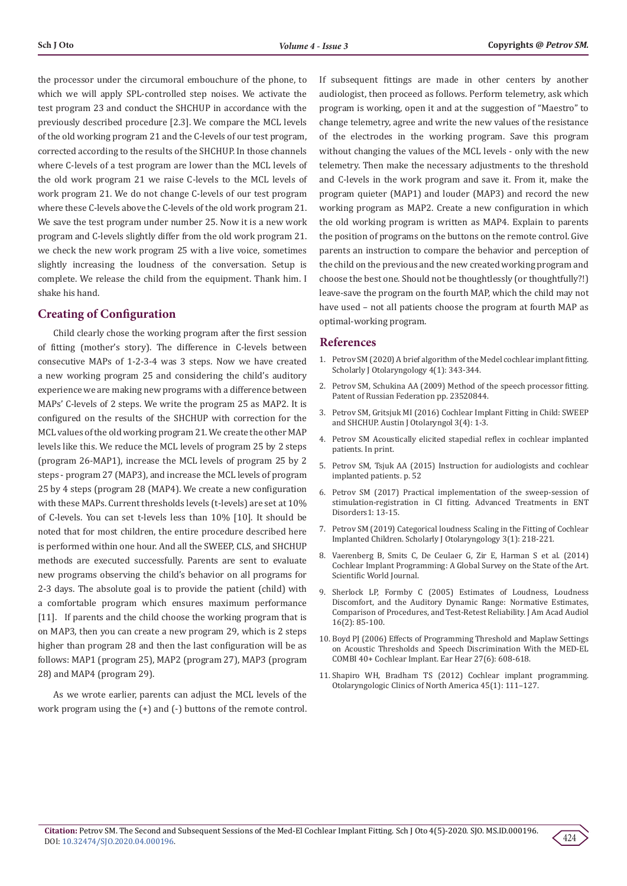the processor under the circumoral embouchure of the phone, to which we will apply SPL-controlled step noises. We activate the test program 23 and conduct the SHCHUP in accordance with the previously described procedure [2.3]. We compare the MCL levels of the old working program 21 and the C-levels of our test program, corrected according to the results of the SHCHUP. In those channels where C-levels of a test program are lower than the MCL levels of the old work program 21 we raise C-levels to the MCL levels of work program 21. We do not change C-levels of our test program where these C-levels above the C-levels of the old work program 21. We save the test program under number 25. Now it is a new work program and C-levels slightly differ from the old work program 21. we check the new work program 25 with a live voice, sometimes slightly increasing the loudness of the conversation. Setup is complete. We release the child from the equipment. Thank him. I shake his hand.

#### **Creating of Configuration**

Child clearly chose the working program after the first session of fitting (mother's story). The difference in C-levels between consecutive MAPs of 1-2-3-4 was 3 steps. Now we have created a new working program 25 and considering the child's auditory experience we are making new programs with a difference between MAPs' C-levels of 2 steps. We write the program 25 as MAP2. It is configured on the results of the SHCHUP with correction for the MCL values of the old working program 21. We create the other MAP levels like this. We reduce the MCL levels of program 25 by 2 steps (program 26-MAP1), increase the MCL levels of program 25 by 2 steps - program 27 (MAP3), and increase the MCL levels of program 25 by 4 steps (program 28 (MAP4). We create a new configuration with these MAPs. Current thresholds levels (t-levels) are set at 10% of C-levels. You can set t-levels less than 10% [10]. It should be noted that for most children, the entire procedure described here is performed within one hour. And all the SWEEP, CLS, and SHCHUP methods are executed successfully. Parents are sent to evaluate new programs observing the child's behavior on all programs for 2-3 days. The absolute goal is to provide the patient (child) with a comfortable program which ensures maximum performance [11]. If parents and the child choose the working program that is on MAP3, then you can create a new program 29, which is 2 steps higher than program 28 and then the last configuration will be as follows: MAP1 (program 25), MAP2 (program 27), MAP3 (program 28) and MAP4 (program 29).

As we wrote earlier, parents can adjust the MCL levels of the work program using the (+) and (-) buttons of the remote control. If subsequent fittings are made in other centers by another audiologist, then proceed as follows. Perform telemetry, ask which program is working, open it and at the suggestion of "Maestro" to change telemetry, agree and write the new values of the resistance of the electrodes in the working program. Save this program without changing the values of the MCL levels - only with the new telemetry. Then make the necessary adjustments to the threshold and C-levels in the work program and save it. From it, make the program quieter (MAP1) and louder (MAP3) and record the new working program as MAP2. Create a new configuration in which the old working program is written as MAP4. Explain to parents the position of programs on the buttons on the remote control. Give parents an instruction to compare the behavior and perception of the child on the previous and the new created working program and choose the best one. Should not be thoughtlessly (or thoughtfully?!) leave-save the program on the fourth MAP, which the child may not have used – not all patients choose the program at fourth MAP as optimal-working program.

#### **References**

- 1. [Petrov SM \(2020\) А brief algorithm of the Medel cochlear implant fitting.](https://lupinepublishers.com/otolaryngology-journal/pdf/SJO.MS.ID.000180.pdf) [Scholarly J Otolaryngology 4\(1\): 343-344.](https://lupinepublishers.com/otolaryngology-journal/pdf/SJO.MS.ID.000180.pdf)
- 2. Petrov SM, Schukina AA (2009) Method of the speech processor fitting. Patent of Russian Federation pp. 23520844.
- 3. [Petrov SM, Gritsjuk MI \(2016\) Cochlear Implant Fitting in Child: SWEEP](https://austinpublishinggroup.com/otolaryngology/fulltext/ajo-v3-id1084.php) [and SHCHUP. Austin J Otolaryngol 3\(4\): 1-3.](https://austinpublishinggroup.com/otolaryngology/fulltext/ajo-v3-id1084.php)
- 4. Petrov SM Acoustically elicited stapedial reflex in cochlear implanted patients. In print.
- 5. Petrov SM, Tsjuk AA (2015) Instruction for audiologists and cochlear implanted patients. p. 52
- 6. [Petrov SM \(2017\) Practical implementation of the sweep-session of](https://www.heighpubs.org/hjed/ated-aid1003.php) [stimulation-registration in CI fitting. Advanced Treatments in ENT](https://www.heighpubs.org/hjed/ated-aid1003.php) [Disorders1: 13-15.](https://www.heighpubs.org/hjed/ated-aid1003.php)
- 7. [Petrov SM \(2019\) Categorical loudness Scaling in the Fitting of Cochlear](https://lupinepublishers.com/otolaryngology-journal/pdf/SJO.MS.ID.000154.pdf) [Implanted Children. Scholarly J Otolaryngology 3\(1\): 218-221.](https://lupinepublishers.com/otolaryngology-journal/pdf/SJO.MS.ID.000154.pdf)
- 8. [Vaerenberg B, Smits C, De Ceulaer G, Zir E, Harman S et al. \(2014\)](https://www.hindawi.com/journals/tswj/2014/501738/) [Cochlear Implant Programming: A Global Survey on the State of the Art.](https://www.hindawi.com/journals/tswj/2014/501738/) [Scientific World Journal.](https://www.hindawi.com/journals/tswj/2014/501738/)
- 9. [Sherlock LP, Formby C \(2005\) Estimates of Loudness, Loudness](https://pubmed.ncbi.nlm.nih.gov/15807048/) [Discomfort, and the Auditory Dynamic Range: Normative Estimates,](https://pubmed.ncbi.nlm.nih.gov/15807048/) [Comparison of Procedures, and Test-Retest Reliability. J Am Acad Audiol](https://pubmed.ncbi.nlm.nih.gov/15807048/) [16\(2\): 85-100.](https://pubmed.ncbi.nlm.nih.gov/15807048/)
- 10. [Boyd PJ \(2006\) Effects of Programming Threshold and Maplaw Settings](https://pubmed.ncbi.nlm.nih.gov/17086073/) [on Acoustic Thresholds and Speech Discrimination With the MED-EL](https://pubmed.ncbi.nlm.nih.gov/17086073/) [COMBI 40+ Cochlear Implant. Ear Hear 27\(6\): 608-618.](https://pubmed.ncbi.nlm.nih.gov/17086073/)
- 11. [Shapiro WH, Bradham TS \(2012\) Cochlear implant programming.](https://pubmed.ncbi.nlm.nih.gov/22115685/) [Otolaryngologic Clinics of North America 45\(1\): 111–127.](https://pubmed.ncbi.nlm.nih.gov/22115685/)